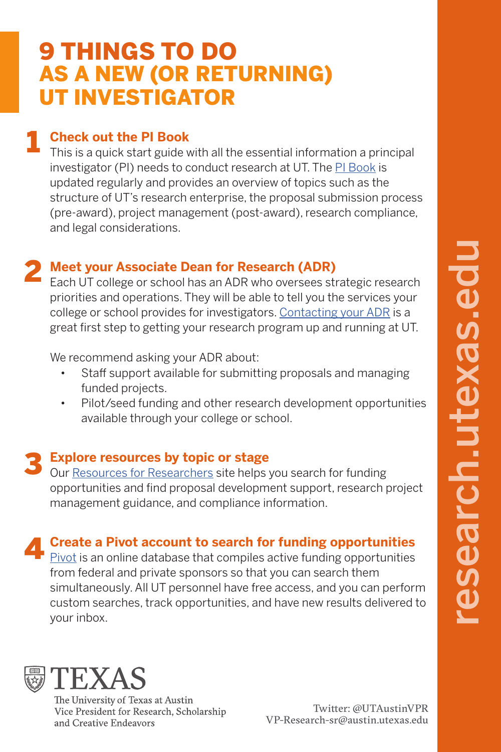# AS A NEW (OR RETURNING) UT INVESTIGATOR 9 THINGS TO DO

### **Check out the PI Book** 1

This is a quick start guide with all the essential information a principal investigator (PI) needs to conduct research at UT. The [PI Book](https://research.utexas.edu/pibook/) is updated regularly and provides an overview of topics such as the structure of UT's research enterprise, the proposal submission process (pre-award), project management (post-award), research compliance, and legal considerations.

### **Meet your Associate Dean for Research (ADR) 2 Meet your Associate Dean for Research (ADR)**<br>Each UT college or school has an ADR who oversees strategic research

priorities and operations. They will be able to tell you the services your college or school provides for investigators. [Contacting your ADR](https://research.utexas.edu/resources/research-administration-support-lookup/) is a great first step to getting your research program up and running at UT.

We recommend asking your ADR about:

- Staff support available for submitting proposals and managing funded projects.
- Pilot/seed funding and other research development opportunities available through your college or school.

### **Explore resources by topic or stage** 3

Our [Resources for Researchers](https://research.utexas.edu/resources/) site helps you search for funding opportunities and find proposal development support, research project management guidance, and compliance information.

### **Create a Pivot account to search for funding opportunities** 4

[Pivot](https://research.utexas.edu/find-funding/pivot/) is an online database that compiles active funding opportunities from federal and private sponsors so that you can search them simultaneously. All UT personnel have free access, and you can perform custom searches, track opportunities, and have new results delivered to your inbox.



The University of Texas at Austin Vice President for Research, Scholarship and Creative Endeavors